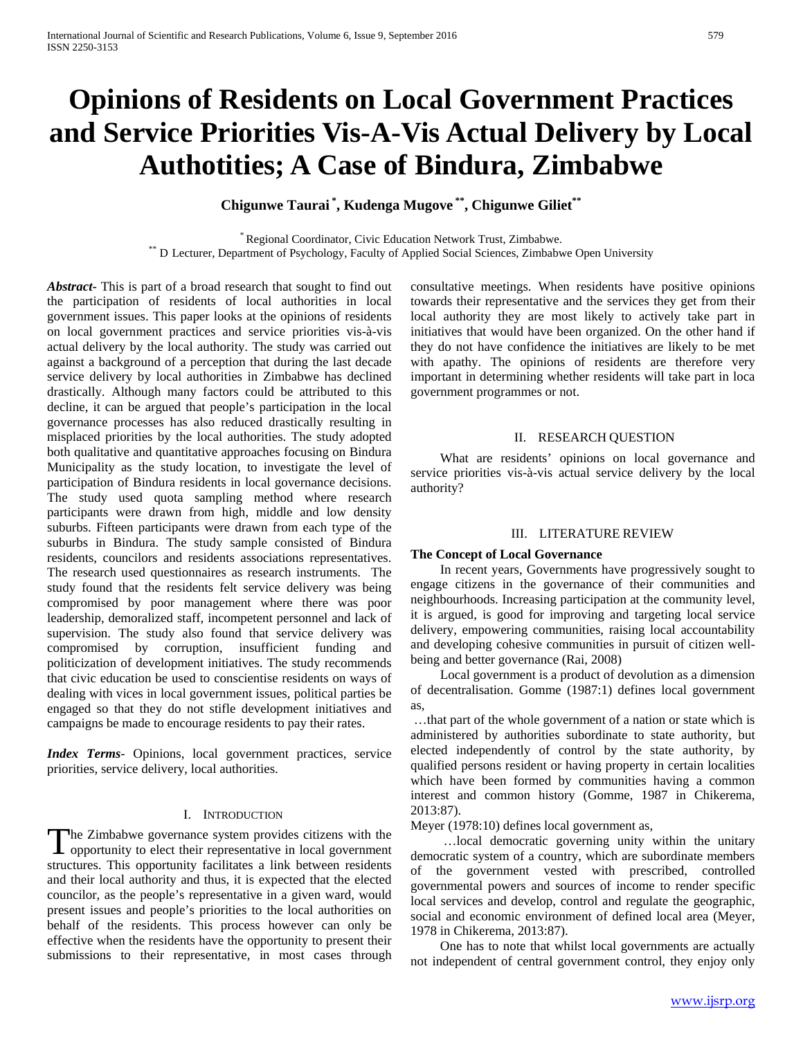# **Opinions of Residents on Local Government Practices and Service Priorities Vis-A-Vis Actual Delivery by Local Authotities; A Case of Bindura, Zimbabwe**

## **Chigunwe Taurai \* , Kudenga Mugove \*\*, Chigunwe Giliet\*\***

\* Regional Coordinator, Civic Education Network Trust, Zimbabwe.<br>\*\* D Lecturer, Department of Psychology, Faculty of Applied Social Sciences, Zimbabwe Open University

*Abstract***-** This is part of a broad research that sought to find out the participation of residents of local authorities in local government issues. This paper looks at the opinions of residents on local government practices and service priorities vis-à-vis actual delivery by the local authority. The study was carried out against a background of a perception that during the last decade service delivery by local authorities in Zimbabwe has declined drastically. Although many factors could be attributed to this decline, it can be argued that people's participation in the local governance processes has also reduced drastically resulting in misplaced priorities by the local authorities. The study adopted both qualitative and quantitative approaches focusing on Bindura Municipality as the study location, to investigate the level of participation of Bindura residents in local governance decisions. The study used quota sampling method where research participants were drawn from high, middle and low density suburbs. Fifteen participants were drawn from each type of the suburbs in Bindura. The study sample consisted of Bindura residents, councilors and residents associations representatives. The research used questionnaires as research instruments. The study found that the residents felt service delivery was being compromised by poor management where there was poor leadership, demoralized staff, incompetent personnel and lack of supervision. The study also found that service delivery was compromised by corruption, insufficient funding and politicization of development initiatives. The study recommends that civic education be used to conscientise residents on ways of dealing with vices in local government issues, political parties be engaged so that they do not stifle development initiatives and campaigns be made to encourage residents to pay their rates.

*Index Terms*- Opinions, local government practices, service priorities, service delivery, local authorities.

#### I. INTRODUCTION

The Zimbabwe governance system provides citizens with the The Zimbabwe governance system provides citizens with the opportunity to elect their representative in local government structures. This opportunity facilitates a link between residents and their local authority and thus, it is expected that the elected councilor, as the people's representative in a given ward, would present issues and people's priorities to the local authorities on behalf of the residents. This process however can only be effective when the residents have the opportunity to present their submissions to their representative, in most cases through

consultative meetings. When residents have positive opinions towards their representative and the services they get from their local authority they are most likely to actively take part in initiatives that would have been organized. On the other hand if they do not have confidence the initiatives are likely to be met with apathy. The opinions of residents are therefore very important in determining whether residents will take part in loca government programmes or not.

#### II. RESEARCH QUESTION

 What are residents' opinions on local governance and service priorities vis-à-vis actual service delivery by the local authority?

#### III. LITERATURE REVIEW

#### **The Concept of Local Governance**

 In recent years, Governments have progressively sought to engage citizens in the governance of their communities and neighbourhoods. Increasing participation at the community level, it is argued, is good for improving and targeting local service delivery, empowering communities, raising local accountability and developing cohesive communities in pursuit of citizen wellbeing and better governance (Rai, 2008)

 Local government is a product of devolution as a dimension of decentralisation. Gomme (1987:1) defines local government as,

…that part of the whole government of a nation or state which is administered by authorities subordinate to state authority, but elected independently of control by the state authority, by qualified persons resident or having property in certain localities which have been formed by communities having a common interest and common history (Gomme, 1987 in Chikerema, 2013:87).

Meyer (1978:10) defines local government as,

 …local democratic governing unity within the unitary democratic system of a country, which are subordinate members of the government vested with prescribed, controlled governmental powers and sources of income to render specific local services and develop, control and regulate the geographic, social and economic environment of defined local area (Meyer, 1978 in Chikerema, 2013:87).

 One has to note that whilst local governments are actually not independent of central government control, they enjoy only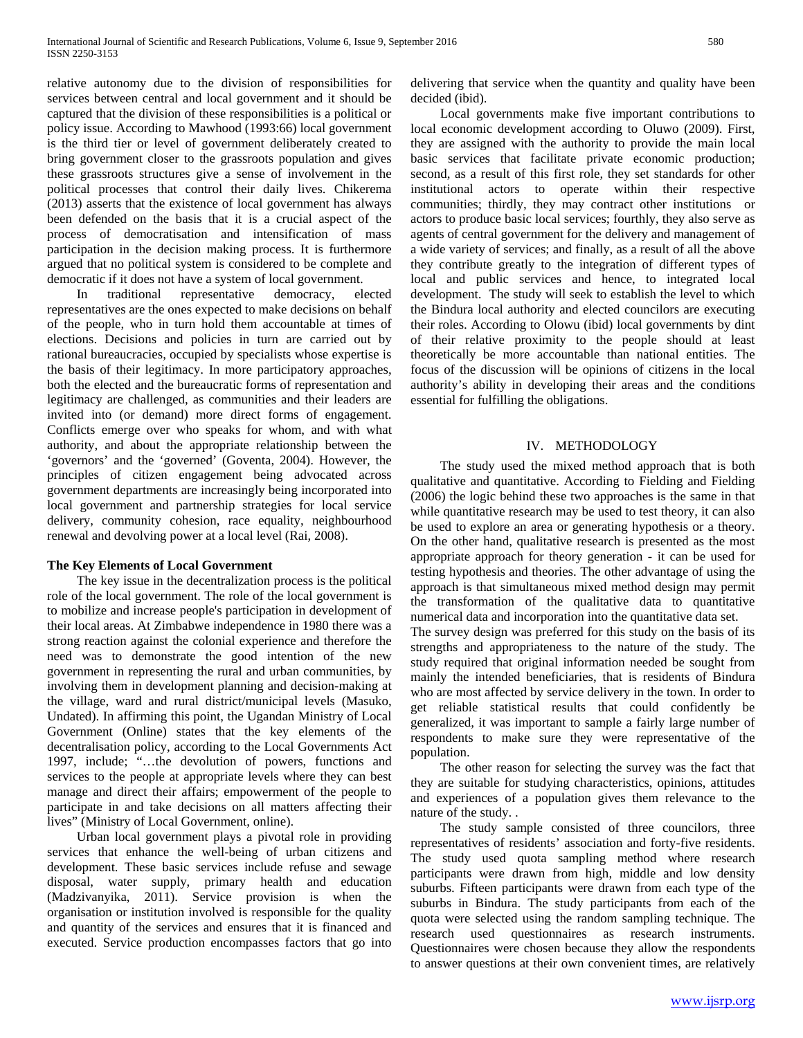relative autonomy due to the division of responsibilities for services between central and local government and it should be captured that the division of these responsibilities is a political or policy issue. According to Mawhood (1993:66) local government is the third tier or level of government deliberately created to bring government closer to the grassroots population and gives these grassroots structures give a sense of involvement in the political processes that control their daily lives. Chikerema (2013) asserts that the existence of local government has always been defended on the basis that it is a crucial aspect of the process of democratisation and intensification of mass participation in the decision making process. It is furthermore argued that no political system is considered to be complete and democratic if it does not have a system of local government.

 In traditional representative democracy, elected representatives are the ones expected to make decisions on behalf of the people, who in turn hold them accountable at times of elections. Decisions and policies in turn are carried out by rational bureaucracies, occupied by specialists whose expertise is the basis of their legitimacy. In more participatory approaches, both the elected and the bureaucratic forms of representation and legitimacy are challenged, as communities and their leaders are invited into (or demand) more direct forms of engagement. Conflicts emerge over who speaks for whom, and with what authority, and about the appropriate relationship between the 'governors' and the 'governed' (Goventa, 2004). However, the principles of citizen engagement being advocated across government departments are increasingly being incorporated into local government and partnership strategies for local service delivery, community cohesion, race equality, neighbourhood renewal and devolving power at a local level (Rai, 2008).

#### **The Key Elements of Local Government**

 The key issue in the decentralization process is the political role of the local government. The role of the local government is to mobilize and increase people's participation in development of their local areas. At Zimbabwe independence in 1980 there was a strong reaction against the colonial experience and therefore the need was to demonstrate the good intention of the new government in representing the rural and urban communities, by involving them in development planning and decision-making at the village, ward and rural district/municipal levels (Masuko, Undated). In affirming this point, the Ugandan Ministry of Local Government (Online) states that the key elements of the decentralisation policy, according to the Local Governments Act 1997, include; "…the devolution of powers, functions and services to the people at appropriate levels where they can best manage and direct their affairs; empowerment of the people to participate in and take decisions on all matters affecting their lives" (Ministry of Local Government, online).

 Urban local government plays a pivotal role in providing services that enhance the well-being of urban citizens and development. These basic services include refuse and sewage disposal, water supply, primary health and education (Madzivanyika, 2011). Service provision is when the organisation or institution involved is responsible for the quality and quantity of the services and ensures that it is financed and executed. Service production encompasses factors that go into

delivering that service when the quantity and quality have been decided (ibid).

 Local governments make five important contributions to local economic development according to Oluwo (2009). First, they are assigned with the authority to provide the main local basic services that facilitate private economic production; second, as a result of this first role, they set standards for other institutional actors to operate within their respective communities; thirdly, they may contract other institutions or actors to produce basic local services; fourthly, they also serve as agents of central government for the delivery and management of a wide variety of services; and finally, as a result of all the above they contribute greatly to the integration of different types of local and public services and hence, to integrated local development. The study will seek to establish the level to which the Bindura local authority and elected councilors are executing their roles. According to Olowu (ibid) local governments by dint of their relative proximity to the people should at least theoretically be more accountable than national entities. The focus of the discussion will be opinions of citizens in the local authority's ability in developing their areas and the conditions essential for fulfilling the obligations.

#### IV. METHODOLOGY

 The study used the mixed method approach that is both qualitative and quantitative. According to Fielding and Fielding (2006) the logic behind these two approaches is the same in that while quantitative research may be used to test theory, it can also be used to explore an area or generating hypothesis or a theory. On the other hand, qualitative research is presented as the most appropriate approach for theory generation - it can be used for testing hypothesis and theories. The other advantage of using the approach is that simultaneous mixed method design may permit the transformation of the qualitative data to quantitative numerical data and incorporation into the quantitative data set. The survey design was preferred for this study on the basis of its strengths and appropriateness to the nature of the study. The study required that original information needed be sought from mainly the intended beneficiaries, that is residents of Bindura who are most affected by service delivery in the town. In order to get reliable statistical results that could confidently be generalized, it was important to sample a fairly large number of respondents to make sure they were representative of the population.

 The other reason for selecting the survey was the fact that they are suitable for studying characteristics, opinions, attitudes and experiences of a population gives them relevance to the nature of the study. .

 The study sample consisted of three councilors, three representatives of residents' association and forty-five residents. The study used quota sampling method where research participants were drawn from high, middle and low density suburbs. Fifteen participants were drawn from each type of the suburbs in Bindura. The study participants from each of the quota were selected using the random sampling technique. The research used questionnaires as research instruments. Questionnaires were chosen because they allow the respondents to answer questions at their own convenient times, are relatively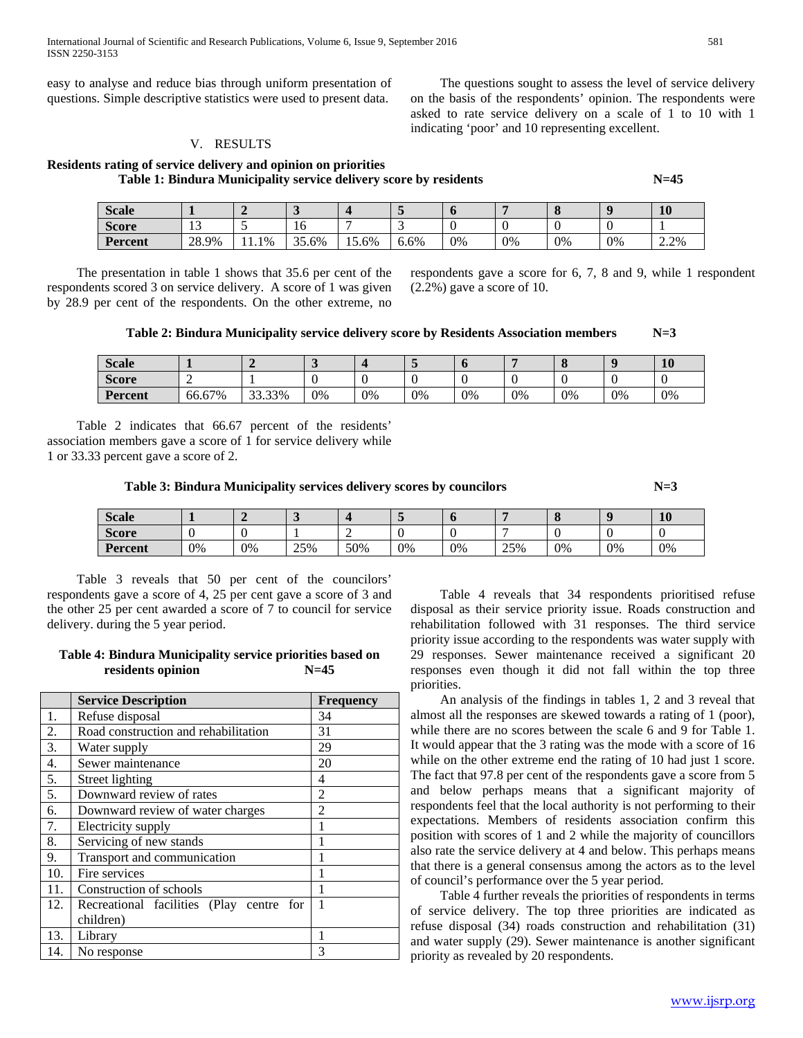International Journal of Scientific and Research Publications, Volume 6, Issue 9, September 2016 581 ISSN 2250-3153

easy to analyse and reduce bias through uniform presentation of questions. Simple descriptive statistics were used to present data.

#### V. RESULTS

**Residents rating of service delivery and opinion on priorities Table 1: Bindura Municipality service delivery score by residents N=45** N=45

| <b>Scale</b>   |                      |        | $\ddot{\phantom{0}}$ |          |      | u  |    |    |    | <b>10</b> |
|----------------|----------------------|--------|----------------------|----------|------|----|----|----|----|-----------|
| Score          | 1 <sub>2</sub><br>IJ | - -    | 10                   |          |      | v  |    |    |    |           |
| <b>Percent</b> | 28.9%                | $.1\%$ | 35<br>35.6%          | $15.6\%$ | 6.6% | 0% | 0% | 0% | 0% | 2.2%      |

 The presentation in table 1 shows that 35.6 per cent of the respondents scored 3 on service delivery. A score of 1 was given by 28.9 per cent of the respondents. On the other extreme, no respondents gave a score for 6, 7, 8 and 9, while 1 respondent (2.2%) gave a score of 10.

 The questions sought to assess the level of service delivery on the basis of the respondents' opinion. The respondents were asked to rate service delivery on a scale of 1 to 10 with 1

indicating 'poor' and 10 representing excellent.

**Table 2: Bindura Municipality service delivery score by Residents Association members N=3**

| <b>Scale</b>   |        |        | $\overline{\phantom{0}}$ |    |    |    |    |    |    | 10 |
|----------------|--------|--------|--------------------------|----|----|----|----|----|----|----|
| <b>Score</b>   |        |        |                          |    |    |    |    |    |    | ν  |
| <b>Percent</b> | 66.67% | 33.33% | 0%                       | 0% | 0% | 0% | 0% | 0% | 0% | 0% |

 Table 2 indicates that 66.67 percent of the residents' association members gave a score of 1 for service delivery while 1 or 33.33 percent gave a score of 2.

Table 3: Bindura Municipality services delivery scores by councilors  $N=3$ 

| <b>Scale</b>   |    |    |     |     |    |    |     |    |    | 10 |
|----------------|----|----|-----|-----|----|----|-----|----|----|----|
| <b>Score</b>   |    |    |     | -   |    |    |     |    |    |    |
| <b>Percent</b> | 0% | 0% | 25% | 50% | 0% | 0% | 25% | 0% | 0% | 0% |

 Table 3 reveals that 50 per cent of the councilors' respondents gave a score of 4, 25 per cent gave a score of 3 and the other 25 per cent awarded a score of 7 to council for service delivery. during the 5 year period.

#### **Table 4: Bindura Municipality service priorities based on residents opinion N=45**

|     | <b>Service Description</b>               | <b>Frequency</b> |
|-----|------------------------------------------|------------------|
| 1.  | Refuse disposal                          | 34               |
| 2.  | Road construction and rehabilitation     | 31               |
| 3.  | Water supply                             | 29               |
| 4.  | Sewer maintenance                        | 20               |
| 5.  | <b>Street lighting</b>                   | 4                |
| 5.  | Downward review of rates                 | 2                |
| 6.  | Downward review of water charges         | $\mathfrak{D}$   |
| 7.  | Electricity supply                       |                  |
| 8.  | Servicing of new stands                  |                  |
| 9.  | Transport and communication              | 1                |
| 10. | Fire services                            | 1                |
| 11. | Construction of schools                  |                  |
| 12. | Recreational facilities (Play centre for |                  |
|     | children)                                |                  |
| 13. | Library                                  |                  |
| 14. | No response                              | 3                |

 Table 4 reveals that 34 respondents prioritised refuse disposal as their service priority issue. Roads construction and rehabilitation followed with 31 responses. The third service priority issue according to the respondents was water supply with 29 responses. Sewer maintenance received a significant 20 responses even though it did not fall within the top three priorities.

 An analysis of the findings in tables 1, 2 and 3 reveal that almost all the responses are skewed towards a rating of 1 (poor), while there are no scores between the scale 6 and 9 for Table 1. It would appear that the 3 rating was the mode with a score of 16 while on the other extreme end the rating of 10 had just 1 score. The fact that 97.8 per cent of the respondents gave a score from 5 and below perhaps means that a significant majority of respondents feel that the local authority is not performing to their expectations. Members of residents association confirm this position with scores of 1 and 2 while the majority of councillors also rate the service delivery at 4 and below. This perhaps means that there is a general consensus among the actors as to the level of council's performance over the 5 year period.

 Table 4 further reveals the priorities of respondents in terms of service delivery. The top three priorities are indicated as refuse disposal (34) roads construction and rehabilitation (31) and water supply (29). Sewer maintenance is another significant priority as revealed by 20 respondents.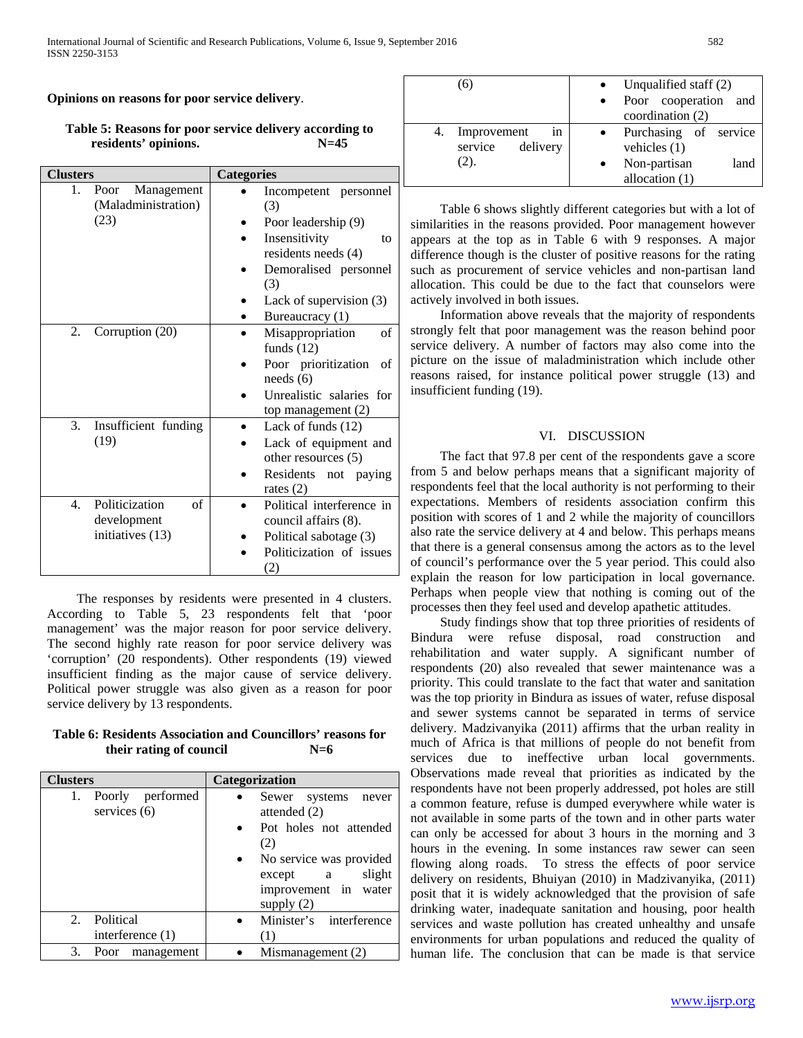## **Opinions on reasons for poor service delivery**.

## **Table 5: Reasons for poor service delivery according to residents' opinions. N=45**

| <b>Clusters</b>  |                                           | <b>Categories</b>               |  |  |  |  |
|------------------|-------------------------------------------|---------------------------------|--|--|--|--|
| 1.               | Management<br>Poor<br>(Maladministration) | Incompetent<br>personnel<br>(3) |  |  |  |  |
|                  | (23)                                      | Poor leadership (9)             |  |  |  |  |
|                  |                                           | Insensitivity<br>to             |  |  |  |  |
|                  |                                           | residents needs (4)             |  |  |  |  |
|                  |                                           | Demoralised personnel           |  |  |  |  |
|                  |                                           | (3)                             |  |  |  |  |
|                  |                                           | Lack of supervision (3)         |  |  |  |  |
|                  |                                           | Bureaucracy (1)                 |  |  |  |  |
| 2.               | Corruption (20)                           | Misappropriation<br>of          |  |  |  |  |
|                  |                                           | funds $(12)$                    |  |  |  |  |
|                  |                                           | Poor prioritization<br>of       |  |  |  |  |
|                  |                                           | needs (6)                       |  |  |  |  |
|                  |                                           | Unrealistic salaries for        |  |  |  |  |
|                  |                                           | top management (2)              |  |  |  |  |
| 3.               | Insufficient funding                      | Lack of funds (12)              |  |  |  |  |
|                  | (19)                                      | Lack of equipment and           |  |  |  |  |
|                  |                                           | other resources (5)             |  |  |  |  |
|                  |                                           | Residents<br>not paying         |  |  |  |  |
|                  |                                           | rates $(2)$                     |  |  |  |  |
| $\overline{4}$ . | Politicization<br>of                      | Political interference in       |  |  |  |  |
|                  | development                               | council affairs (8).            |  |  |  |  |
|                  | initiatives (13)                          | Political sabotage (3)          |  |  |  |  |
|                  |                                           | Politicization of issues        |  |  |  |  |
|                  |                                           | (2)                             |  |  |  |  |

 The responses by residents were presented in 4 clusters. According to Table 5, 23 respondents felt that 'poor management' was the major reason for poor service delivery. The second highly rate reason for poor service delivery was 'corruption' (20 respondents). Other respondents (19) viewed insufficient finding as the major cause of service delivery. Political power struggle was also given as a reason for poor service delivery by 13 respondents.

## **Table 6: Residents Association and Councillors' reasons for their rating of council N=6**

| <b>Clusters</b>                       | Categorization                                                                                                                                                                                |
|---------------------------------------|-----------------------------------------------------------------------------------------------------------------------------------------------------------------------------------------------|
| 1. Poorly performed<br>services $(6)$ | Sewer systems<br>never<br>attended $(2)$<br>Pot holes not attended<br>$\bullet$<br>(2)<br>No service was provided<br>slight<br>except<br>$\mathbf{a}$<br>improvement in water<br>supply $(2)$ |
| Political<br>2.<br>interference $(1)$ | Minister's interference<br>(1)                                                                                                                                                                |
| 3.<br>Poor management                 | Mismanagement (2)                                                                                                                                                                             |

| <sup>(6)</sup>                                         | Unqualified staff (2)                                                               |
|--------------------------------------------------------|-------------------------------------------------------------------------------------|
|                                                        | Poor cooperation<br>and<br>coordination (2)                                         |
| Improvement<br>4.<br>in<br>service<br>delivery<br>(2). | Purchasing of service<br>vehicles $(1)$<br>Non-partisan<br>land<br>allocation $(1)$ |

 Table 6 shows slightly different categories but with a lot of similarities in the reasons provided. Poor management however appears at the top as in Table 6 with 9 responses. A major difference though is the cluster of positive reasons for the rating such as procurement of service vehicles and non-partisan land allocation. This could be due to the fact that counselors were actively involved in both issues.

 Information above reveals that the majority of respondents strongly felt that poor management was the reason behind poor service delivery. A number of factors may also come into the picture on the issue of maladministration which include other reasons raised, for instance political power struggle (13) and insufficient funding (19).

## VI. DISCUSSION

 The fact that 97.8 per cent of the respondents gave a score from 5 and below perhaps means that a significant majority of respondents feel that the local authority is not performing to their expectations. Members of residents association confirm this position with scores of 1 and 2 while the majority of councillors also rate the service delivery at 4 and below. This perhaps means that there is a general consensus among the actors as to the level of council's performance over the 5 year period. This could also explain the reason for low participation in local governance. Perhaps when people view that nothing is coming out of the processes then they feel used and develop apathetic attitudes.

 Study findings show that top three priorities of residents of Bindura were refuse disposal, road construction and rehabilitation and water supply. A significant number of respondents (20) also revealed that sewer maintenance was a priority. This could translate to the fact that water and sanitation was the top priority in Bindura as issues of water, refuse disposal and sewer systems cannot be separated in terms of service delivery. Madzivanyika (2011) affirms that the urban reality in much of Africa is that millions of people do not benefit from services due to ineffective urban local governments. Observations made reveal that priorities as indicated by the respondents have not been properly addressed, pot holes are still a common feature, refuse is dumped everywhere while water is not available in some parts of the town and in other parts water can only be accessed for about 3 hours in the morning and 3 hours in the evening. In some instances raw sewer can seen flowing along roads. To stress the effects of poor service delivery on residents, Bhuiyan (2010) in Madzivanyika, (2011) posit that it is widely acknowledged that the provision of safe drinking water, inadequate sanitation and housing, poor health services and waste pollution has created unhealthy and unsafe environments for urban populations and reduced the quality of human life. The conclusion that can be made is that service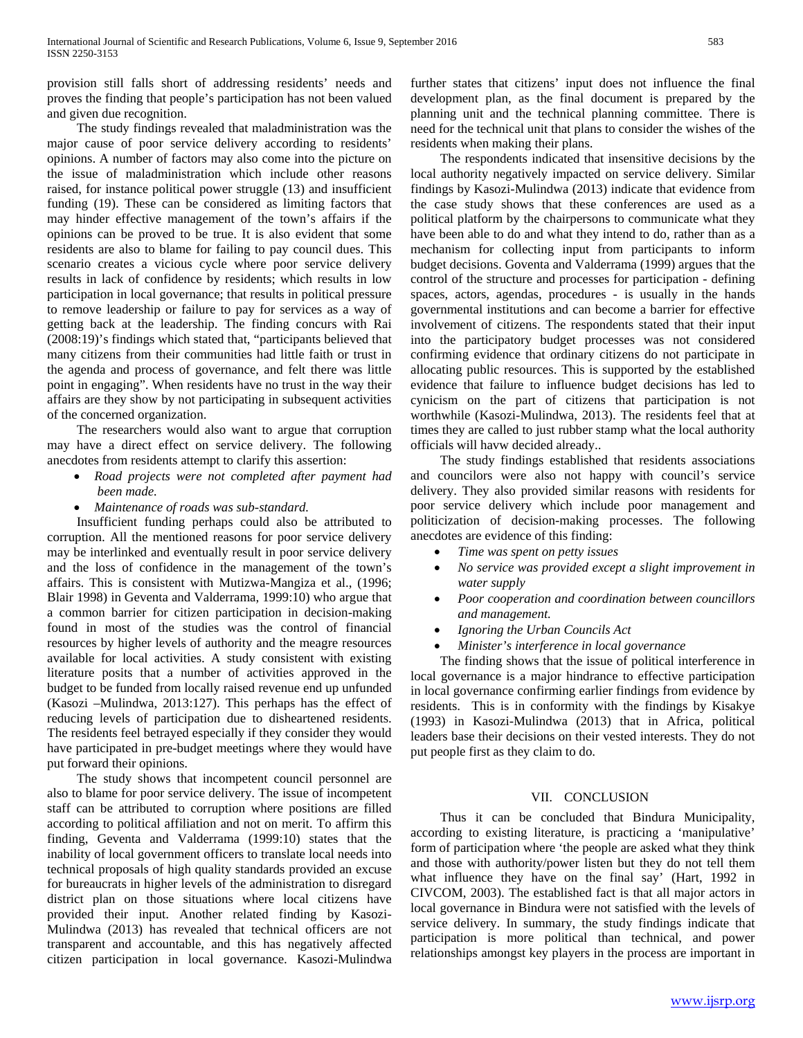provision still falls short of addressing residents' needs and proves the finding that people's participation has not been valued and given due recognition.

 The study findings revealed that maladministration was the major cause of poor service delivery according to residents' opinions. A number of factors may also come into the picture on the issue of maladministration which include other reasons raised, for instance political power struggle (13) and insufficient funding (19). These can be considered as limiting factors that may hinder effective management of the town's affairs if the opinions can be proved to be true. It is also evident that some residents are also to blame for failing to pay council dues. This scenario creates a vicious cycle where poor service delivery results in lack of confidence by residents; which results in low participation in local governance; that results in political pressure to remove leadership or failure to pay for services as a way of getting back at the leadership. The finding concurs with Rai (2008:19)'s findings which stated that, "participants believed that many citizens from their communities had little faith or trust in the agenda and process of governance, and felt there was little point in engaging". When residents have no trust in the way their affairs are they show by not participating in subsequent activities of the concerned organization.

 The researchers would also want to argue that corruption may have a direct effect on service delivery. The following anecdotes from residents attempt to clarify this assertion:

- *Road projects were not completed after payment had been made.*
- *Maintenance of roads was sub-standard.*

 Insufficient funding perhaps could also be attributed to corruption. All the mentioned reasons for poor service delivery may be interlinked and eventually result in poor service delivery and the loss of confidence in the management of the town's affairs. This is consistent with Mutizwa-Mangiza et al., (1996; Blair 1998) in Geventa and Valderrama, 1999:10) who argue that a common barrier for citizen participation in decision-making found in most of the studies was the control of financial resources by higher levels of authority and the meagre resources available for local activities. A study consistent with existing literature posits that a number of activities approved in the budget to be funded from locally raised revenue end up unfunded (Kasozi –Mulindwa, 2013:127). This perhaps has the effect of reducing levels of participation due to disheartened residents. The residents feel betrayed especially if they consider they would have participated in pre-budget meetings where they would have put forward their opinions.

 The study shows that incompetent council personnel are also to blame for poor service delivery. The issue of incompetent staff can be attributed to corruption where positions are filled according to political affiliation and not on merit. To affirm this finding, Geventa and Valderrama (1999:10) states that the inability of local government officers to translate local needs into technical proposals of high quality standards provided an excuse for bureaucrats in higher levels of the administration to disregard district plan on those situations where local citizens have provided their input. Another related finding by Kasozi-Mulindwa (2013) has revealed that technical officers are not transparent and accountable, and this has negatively affected citizen participation in local governance. Kasozi-Mulindwa further states that citizens' input does not influence the final development plan, as the final document is prepared by the planning unit and the technical planning committee. There is need for the technical unit that plans to consider the wishes of the residents when making their plans.

 The respondents indicated that insensitive decisions by the local authority negatively impacted on service delivery. Similar findings by Kasozi-Mulindwa (2013) indicate that evidence from the case study shows that these conferences are used as a political platform by the chairpersons to communicate what they have been able to do and what they intend to do, rather than as a mechanism for collecting input from participants to inform budget decisions. Goventa and Valderrama (1999) argues that the control of the structure and processes for participation - defining spaces, actors, agendas, procedures - is usually in the hands governmental institutions and can become a barrier for effective involvement of citizens. The respondents stated that their input into the participatory budget processes was not considered confirming evidence that ordinary citizens do not participate in allocating public resources. This is supported by the established evidence that failure to influence budget decisions has led to cynicism on the part of citizens that participation is not worthwhile (Kasozi-Mulindwa, 2013). The residents feel that at times they are called to just rubber stamp what the local authority officials will havw decided already..

 The study findings established that residents associations and councilors were also not happy with council's service delivery. They also provided similar reasons with residents for poor service delivery which include poor management and politicization of decision-making processes. The following anecdotes are evidence of this finding:

- *Time was spent on petty issues*
- *No service was provided except a slight improvement in water supply*
- *Poor cooperation and coordination between councillors and management.*
- *Ignoring the Urban Councils Act*
- *Minister's interference in local governance*

 The finding shows that the issue of political interference in local governance is a major hindrance to effective participation in local governance confirming earlier findings from evidence by residents. This is in conformity with the findings by Kisakye (1993) in Kasozi-Mulindwa (2013) that in Africa, political leaders base their decisions on their vested interests. They do not put people first as they claim to do.

#### VII. CONCLUSION

 Thus it can be concluded that Bindura Municipality, according to existing literature, is practicing a 'manipulative' form of participation where 'the people are asked what they think and those with authority/power listen but they do not tell them what influence they have on the final say' (Hart, 1992 in CIVCOM, 2003). The established fact is that all major actors in local governance in Bindura were not satisfied with the levels of service delivery. In summary, the study findings indicate that participation is more political than technical, and power relationships amongst key players in the process are important in